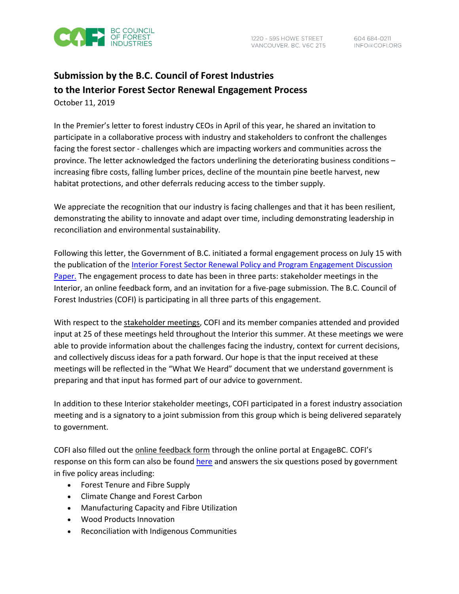

# **Submission by the B.C. Council of Forest Industries to the Interior Forest Sector Renewal Engagement Process** October 11, 2019

In the Premier's letter to forest industry CEOs in April of this year, he shared an invitation to participate in a collaborative process with industry and stakeholders to confront the challenges facing the forest sector - challenges which are impacting workers and communities across the province. The letter acknowledged the factors underlining the deteriorating business conditions – increasing fibre costs, falling lumber prices, decline of the mountain pine beetle harvest, new habitat protections, and other deferrals reducing access to the timber supply.

We appreciate the recognition that our industry is facing challenges and that it has been resilient, demonstrating the ability to innovate and adapt over time, including demonstrating leadership in reconciliation and environmental sustainability.

Following this letter, the Government of B.C. initiated a formal engagement process on July 15 with the publication of the [Interior Forest Sector Renewal Policy and Program Engagement Discussion](https://engage.gov.bc.ca/app/uploads/sites/523/2019/07/Interior-Forest-Sector-Renewal-Policy-Initiative_Discussion-Paper_Summer-2019_reduced.pdf)  [Paper.](https://engage.gov.bc.ca/app/uploads/sites/523/2019/07/Interior-Forest-Sector-Renewal-Policy-Initiative_Discussion-Paper_Summer-2019_reduced.pdf) The engagement process to date has been in three parts: stakeholder meetings in the Interior, an online feedback form, and an invitation for a five-page submission. The B.C. Council of Forest Industries (COFI) is participating in all three parts of this engagement.

With respect to the stakeholder meetings, COFI and its member companies attended and provided input at 25 of these meetings held throughout the Interior this summer. At these meetings we were able to provide information about the challenges facing the industry, context for current decisions, and collectively discuss ideas for a path forward. Our hope is that the input received at these meetings will be reflected in the "What We Heard" document that we understand government is preparing and that input has formed part of our advice to government.

In addition to these Interior stakeholder meetings, COFI participated in a forest industry association meeting and is a signatory to a joint submission from this group which is being delivered separately to government.

COFI also filled out the online feedback form through the online portal at EngageBC. COFI's response on this form can also be found [here](https://www.cofi.org/wp-content/uploads/COFI_EngageBCSubmission.pdf) and answers the six questions posed by government in five policy areas including:

- Forest Tenure and Fibre Supply
- Climate Change and Forest Carbon
- Manufacturing Capacity and Fibre Utilization
- Wood Products Innovation
- Reconciliation with Indigenous Communities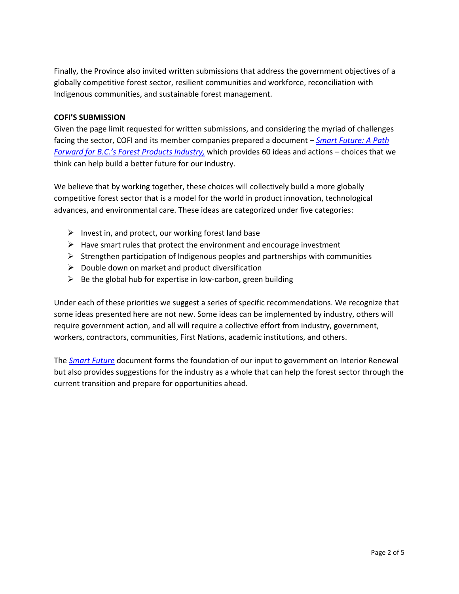Finally, the Province also invited written submissions that address the government objectives of a globally competitive forest sector, resilient communities and workforce, reconciliation with Indigenous communities, and sustainable forest management.

## **COFI'S SUBMISSION**

Given the page limit requested for written submissions, and considering the myriad of challenges facing the sector, COFI and its member companies prepared a document – *Smart [Future: A Path](https://www.cofi.org/wp-content/uploads/COFI_APathForward_2.pdf)  [Forward for B.C.'s Forest Products Industry,](https://www.cofi.org/wp-content/uploads/COFI_APathForward_2.pdf)* which provides 60 ideas and actions – choices that we think can help build a better future for our industry.

We believe that by working together, these choices will collectively build a more globally competitive forest sector that is a model for the world in product innovation, technological advances, and environmental care. These ideas are categorized under five categories:

- $\triangleright$  Invest in, and protect, our working forest land base
- $\triangleright$  Have smart rules that protect the environment and encourage investment
- $\triangleright$  Strengthen participation of Indigenous peoples and partnerships with communities
- $\triangleright$  Double down on market and product diversification
- $\triangleright$  Be the global hub for expertise in low-carbon, green building

Under each of these priorities we suggest a series of specific recommendations. We recognize that some ideas presented here are not new. Some ideas can be implemented by industry, others will require government action, and all will require a collective effort from industry, government, workers, contractors, communities, First Nations, academic institutions, and others.

The *[Smart Future](https://www.cofi.org/wp-content/uploads/COFI_APathForward_2.pdf)* document forms the foundation of our input to government on Interior Renewal but also provides suggestions for the industry as a whole that can help the forest sector through the current transition and prepare for opportunities ahead.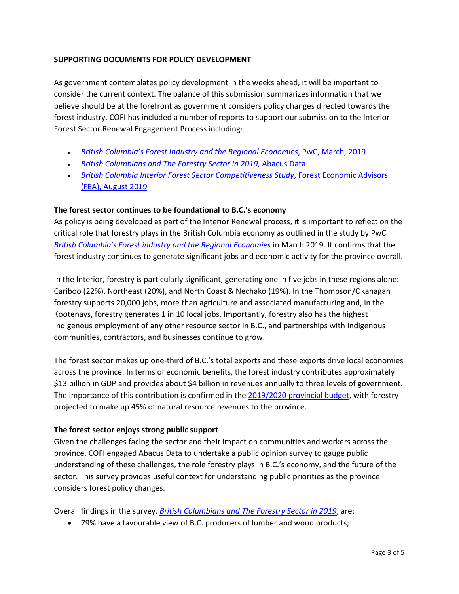# **SUPPORTING DOCUMENTS FOR POLICY DEVELOPMENT**

As government contemplates policy development in the weeks ahead, it will be important to consider the current context. The balance of this submission summarizes information that we believe should be at the forefront as government considers policy changes directed towards the forest industry. COFI has included a number of reports to support our submission to the Interior Forest Sector Renewal Engagement Process including:

- *[British Columbia's Forest Industry and the Regional Economies](https://www.cofi.org/wp-content/uploads/FINAL-COFI-Regional-Economic-Impact-Study_Final_March2019-2.pdf)*, PwC, March, 2019
- *[British Columbians and The Forestry Sector in 2019,](https://www.cofi.org/wp-content/uploads/British-Columbians-and-The-Forestry-Sector-Abacus-Data.pdf)* Abacus Data
- *[British Columbia Interior Forest Sector Competitiveness Study](https://www.cofi.org/wp-content/uploads/FEA-BC-Interior-Public-Final-August-2019.pdf)*, Forest Economic Advisors [\(FEA\), August 2019](https://www.cofi.org/wp-content/uploads/FEA-BC-Interior-Public-Final-August-2019.pdf)

## **The forest sector continues to be foundational to B.C.'s economy**

As policy is being developed as part of the Interior Renewal process, it is important to reflect on the critical role that forestry plays in the British Columbia economy as outlined in the study by PwC *[British Columbia's Forest industry and the Regional Economies](https://www.cofi.org/wp-content/uploads/FINAL-COFI-Regional-Economic-Impact-Study_Final_March2019-2.pdf)* in March 2019. It confirms that the forest industry continues to generate significant jobs and economic activity for the province overall.

In the Interior, forestry is particularly significant, generating one in five jobs in these regions alone: Cariboo (22%), Northeast (20%), and North Coast & Nechako (19%). In the Thompson/Okanagan forestry supports 20,000 jobs, more than agriculture and associated manufacturing and, in the Kootenays, forestry generates 1 in 10 local jobs. Importantly, forestry also has the highest Indigenous employment of any other resource sector in B.C., and partnerships with Indigenous communities, contractors, and businesses continue to grow.

The forest sector makes up one-third of B.C.'s total exports and these exports drive local economies across the province. In terms of economic benefits, the forest industry contributes approximately \$13 billion in GDP and provides about \$4 billion in revenues annually to three levels of government. The importance of this contribution is confirmed in the [2019/2020 provincial budget,](https://www.bcbudget.gov.bc.ca/2019/pdf/2019_budget_and_fiscal_plan.pdf) with forestry projected to make up 45% of natural resource revenues to the province.

#### **The forest sector enjoys strong public support**

Given the challenges facing the sector and their impact on communities and workers across the province, COFI engaged Abacus Data to undertake a public opinion survey to gauge public understanding of these challenges, the role forestry plays in B.C.'s economy, and the future of the sector. This survey provides useful context for understanding public priorities as the province considers forest policy changes.

Overall findings in the survey, *[British Columbians and The Forestry Sector in 2019](https://www.cofi.org/wp-content/uploads/British-Columbians-and-The-Forestry-Sector-Abacus-Data.pdf)*, are:

• 79% have a favourable view of B.C. producers of lumber and wood products;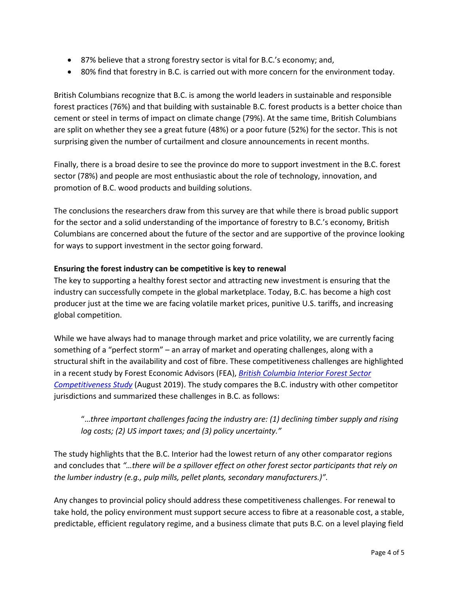- 87% believe that a strong forestry sector is vital for B.C.'s economy; and,
- 80% find that forestry in B.C. is carried out with more concern for the environment today.

British Columbians recognize that B.C. is among the world leaders in sustainable and responsible forest practices (76%) and that building with sustainable B.C. forest products is a better choice than cement or steel in terms of impact on climate change (79%). At the same time, British Columbians are split on whether they see a great future (48%) or a poor future (52%) for the sector. This is not surprising given the number of curtailment and closure announcements in recent months.

Finally, there is a broad desire to see the province do more to support investment in the B.C. forest sector (78%) and people are most enthusiastic about the role of technology, innovation, and promotion of B.C. wood products and building solutions.

The conclusions the researchers draw from this survey are that while there is broad public support for the sector and a solid understanding of the importance of forestry to B.C.'s economy, British Columbians are concerned about the future of the sector and are supportive of the province looking for ways to support investment in the sector going forward.

# **Ensuring the forest industry can be competitive is key to renewal**

The key to supporting a healthy forest sector and attracting new investment is ensuring that the industry can successfully compete in the global marketplace. Today, B.C. has become a high cost producer just at the time we are facing volatile market prices, punitive U.S. tariffs, and increasing global competition.

While we have always had to manage through market and price volatility, we are currently facing something of a "perfect storm" – an array of market and operating challenges, along with a structural shift in the availability and cost of fibre. These competitiveness challenges are highlighted in a recent study by Forest Economic Advisors (FEA), *[British Columbia Interior Forest Sector](https://www.cofi.org/wp-content/uploads/FEA-BC-Interior-Public-Final-August-2019.pdf)  [Competitiveness Study](https://www.cofi.org/wp-content/uploads/FEA-BC-Interior-Public-Final-August-2019.pdf)* (August 2019). The study compares the B.C. industry with other competitor jurisdictions and summarized these challenges in B.C. as follows:

"…*three important challenges facing the industry are: (1) declining timber supply and rising log costs; (2) US import taxes; and (3) policy uncertainty."* 

The study highlights that the B.C. Interior had the lowest return of any other comparator regions and concludes that *"…there will be a spillover effect on other forest sector participants that rely on the lumber industry (e.g., pulp mills, pellet plants, secondary manufacturers.)".*

Any changes to provincial policy should address these competitiveness challenges. For renewal to take hold, the policy environment must support secure access to fibre at a reasonable cost, a stable, predictable, efficient regulatory regime, and a business climate that puts B.C. on a level playing field